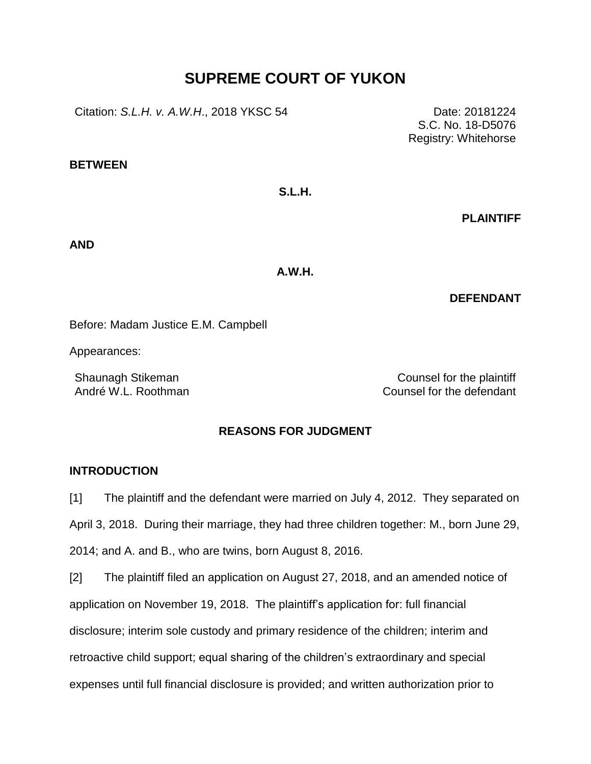# **SUPREME COURT OF YUKON**

Citation: *S.L.H. v. A.W.H.*, 2018 YKSC 54 Date: 20181224

**BETWEEN**

**S.L.H.**

**PLAINTIFF**

S.C. No. 18-D5076 Registry: Whitehorse

**AND**

**A.W.H.**

**DEFENDANT**

Before: Madam Justice E.M. Campbell

Appearances:

Shaunagh Stikeman Counsel for the plaintiff André W.L. Roothman Counsel for the defendant

## **REASONS FOR JUDGMENT**

## **INTRODUCTION**

[1] The plaintiff and the defendant were married on July 4, 2012. They separated on April 3, 2018. During their marriage, they had three children together: M., born June 29, 2014; and A. and B., who are twins, born August 8, 2016.

[2] The plaintiff filed an application on August 27, 2018, and an amended notice of application on November 19, 2018. The plaintiff's application for: full financial disclosure; interim sole custody and primary residence of the children; interim and retroactive child support; equal sharing of the children's extraordinary and special expenses until full financial disclosure is provided; and written authorization prior to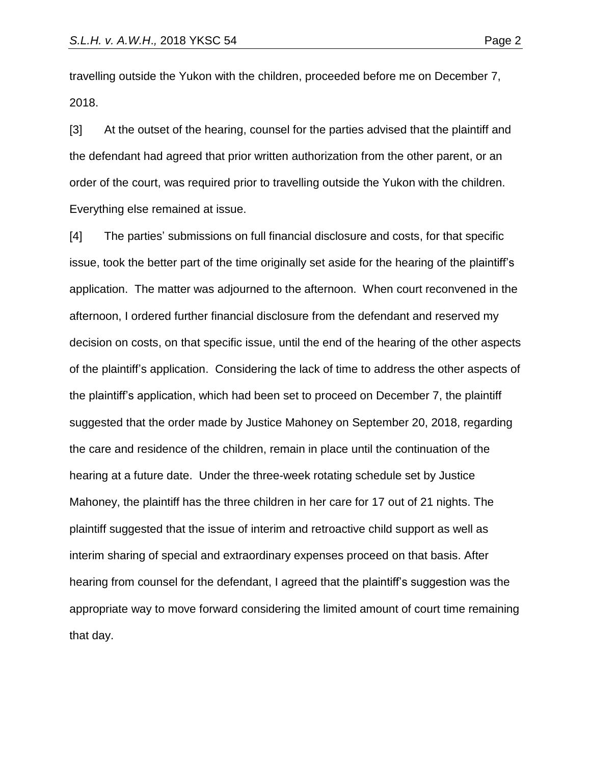travelling outside the Yukon with the children, proceeded before me on December 7, 2018.

[3] At the outset of the hearing, counsel for the parties advised that the plaintiff and the defendant had agreed that prior written authorization from the other parent, or an order of the court, was required prior to travelling outside the Yukon with the children. Everything else remained at issue.

[4] The parties' submissions on full financial disclosure and costs, for that specific issue, took the better part of the time originally set aside for the hearing of the plaintiff's application. The matter was adjourned to the afternoon. When court reconvened in the afternoon, I ordered further financial disclosure from the defendant and reserved my decision on costs, on that specific issue, until the end of the hearing of the other aspects of the plaintiff's application. Considering the lack of time to address the other aspects of the plaintiff's application, which had been set to proceed on December 7, the plaintiff suggested that the order made by Justice Mahoney on September 20, 2018, regarding the care and residence of the children, remain in place until the continuation of the hearing at a future date. Under the three-week rotating schedule set by Justice Mahoney, the plaintiff has the three children in her care for 17 out of 21 nights. The plaintiff suggested that the issue of interim and retroactive child support as well as interim sharing of special and extraordinary expenses proceed on that basis. After hearing from counsel for the defendant, I agreed that the plaintiff's suggestion was the appropriate way to move forward considering the limited amount of court time remaining that day.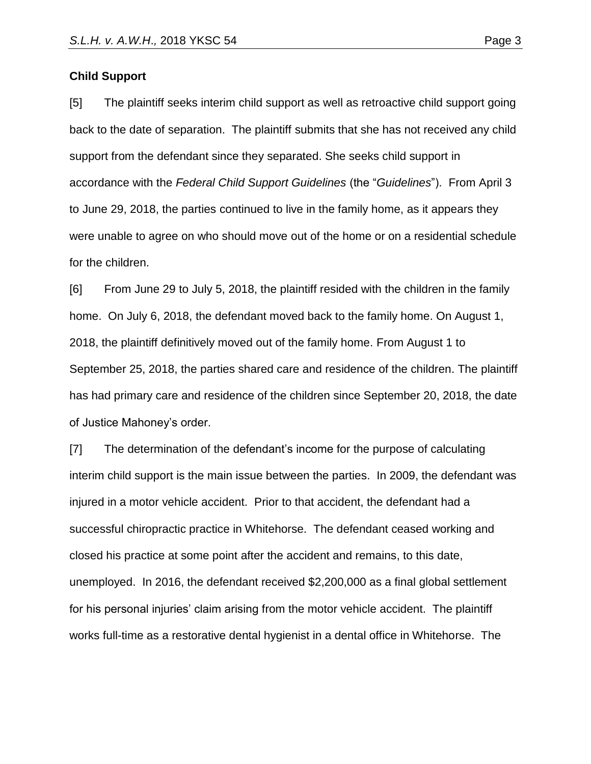#### **Child Support**

[5] The plaintiff seeks interim child support as well as retroactive child support going back to the date of separation. The plaintiff submits that she has not received any child support from the defendant since they separated. She seeks child support in accordance with the *Federal Child Support Guidelines* (the "*Guidelines*"). From April 3 to June 29, 2018, the parties continued to live in the family home, as it appears they were unable to agree on who should move out of the home or on a residential schedule for the children.

[6] From June 29 to July 5, 2018, the plaintiff resided with the children in the family home. On July 6, 2018, the defendant moved back to the family home. On August 1, 2018, the plaintiff definitively moved out of the family home. From August 1 to September 25, 2018, the parties shared care and residence of the children. The plaintiff has had primary care and residence of the children since September 20, 2018, the date of Justice Mahoney's order.

[7] The determination of the defendant's income for the purpose of calculating interim child support is the main issue between the parties. In 2009, the defendant was injured in a motor vehicle accident. Prior to that accident, the defendant had a successful chiropractic practice in Whitehorse. The defendant ceased working and closed his practice at some point after the accident and remains, to this date, unemployed. In 2016, the defendant received \$2,200,000 as a final global settlement for his personal injuries' claim arising from the motor vehicle accident. The plaintiff works full-time as a restorative dental hygienist in a dental office in Whitehorse. The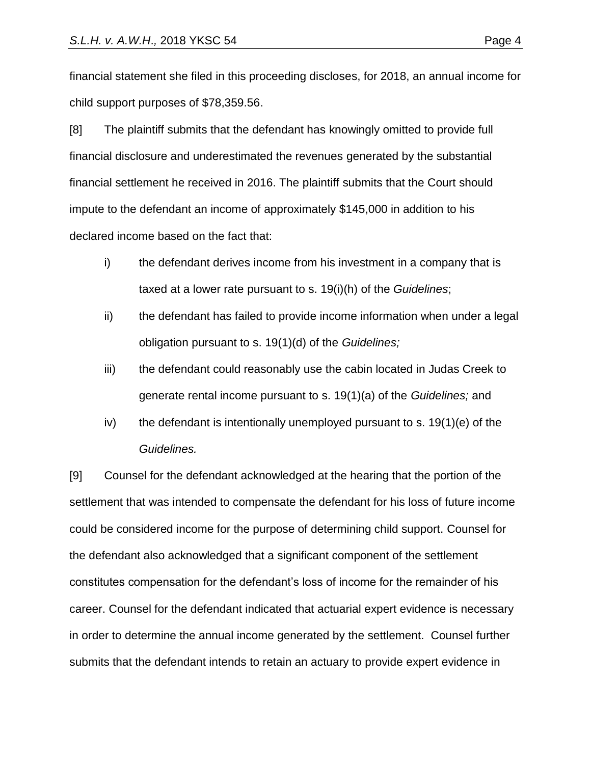financial statement she filed in this proceeding discloses, for 2018, an annual income for child support purposes of \$78,359.56.

[8] The plaintiff submits that the defendant has knowingly omitted to provide full financial disclosure and underestimated the revenues generated by the substantial financial settlement he received in 2016. The plaintiff submits that the Court should impute to the defendant an income of approximately \$145,000 in addition to his declared income based on the fact that:

- i) the defendant derives income from his investment in a company that is taxed at a lower rate pursuant to s. 19(i)(h) of the *Guidelines*;
- ii) the defendant has failed to provide income information when under a legal obligation pursuant to s. 19(1)(d) of the *Guidelines;*
- iii) the defendant could reasonably use the cabin located in Judas Creek to generate rental income pursuant to s. 19(1)(a) of the *Guidelines;* and
- iv) the defendant is intentionally unemployed pursuant to s.  $19(1)(e)$  of the *Guidelines.*

[9] Counsel for the defendant acknowledged at the hearing that the portion of the settlement that was intended to compensate the defendant for his loss of future income could be considered income for the purpose of determining child support. Counsel for the defendant also acknowledged that a significant component of the settlement constitutes compensation for the defendant's loss of income for the remainder of his career. Counsel for the defendant indicated that actuarial expert evidence is necessary in order to determine the annual income generated by the settlement. Counsel further submits that the defendant intends to retain an actuary to provide expert evidence in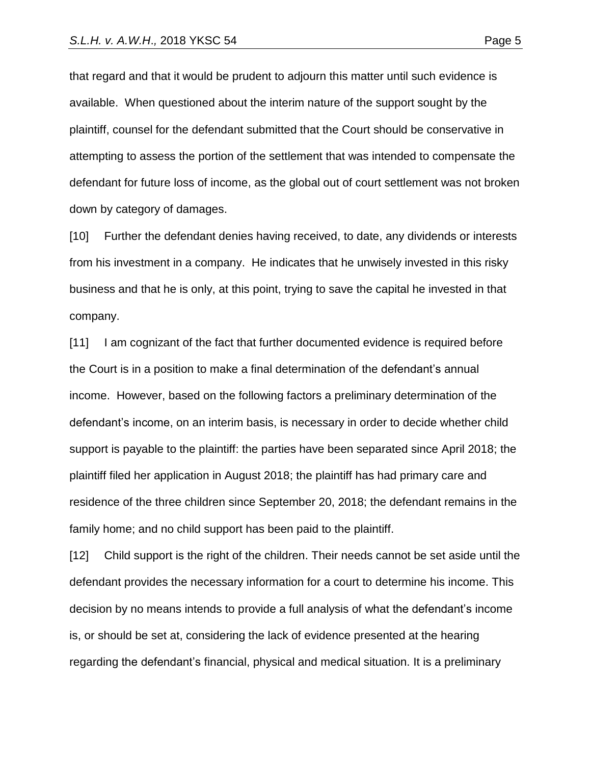that regard and that it would be prudent to adjourn this matter until such evidence is available. When questioned about the interim nature of the support sought by the plaintiff, counsel for the defendant submitted that the Court should be conservative in attempting to assess the portion of the settlement that was intended to compensate the defendant for future loss of income, as the global out of court settlement was not broken down by category of damages.

[10] Further the defendant denies having received, to date, any dividends or interests from his investment in a company. He indicates that he unwisely invested in this risky business and that he is only, at this point, trying to save the capital he invested in that company.

[11] I am cognizant of the fact that further documented evidence is required before the Court is in a position to make a final determination of the defendant's annual income. However, based on the following factors a preliminary determination of the defendant's income, on an interim basis, is necessary in order to decide whether child support is payable to the plaintiff: the parties have been separated since April 2018; the plaintiff filed her application in August 2018; the plaintiff has had primary care and residence of the three children since September 20, 2018; the defendant remains in the family home; and no child support has been paid to the plaintiff.

[12] Child support is the right of the children. Their needs cannot be set aside until the defendant provides the necessary information for a court to determine his income. This decision by no means intends to provide a full analysis of what the defendant's income is, or should be set at, considering the lack of evidence presented at the hearing regarding the defendant's financial, physical and medical situation. It is a preliminary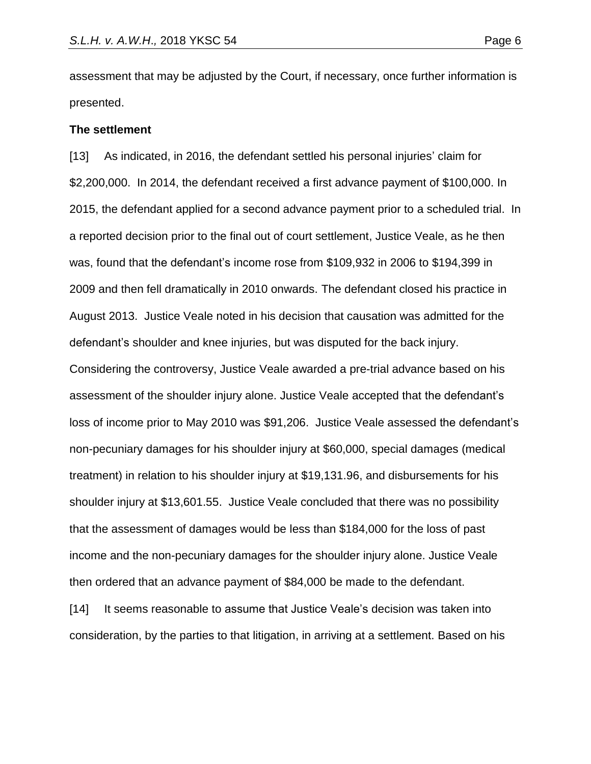assessment that may be adjusted by the Court, if necessary, once further information is presented.

#### **The settlement**

[13] As indicated, in 2016, the defendant settled his personal injuries' claim for \$2,200,000. In 2014, the defendant received a first advance payment of \$100,000. In 2015, the defendant applied for a second advance payment prior to a scheduled trial. In a reported decision prior to the final out of court settlement, Justice Veale, as he then was, found that the defendant's income rose from \$109,932 in 2006 to \$194,399 in 2009 and then fell dramatically in 2010 onwards. The defendant closed his practice in August 2013. Justice Veale noted in his decision that causation was admitted for the defendant's shoulder and knee injuries, but was disputed for the back injury. Considering the controversy, Justice Veale awarded a pre-trial advance based on his assessment of the shoulder injury alone. Justice Veale accepted that the defendant's loss of income prior to May 2010 was \$91,206. Justice Veale assessed the defendant's non-pecuniary damages for his shoulder injury at \$60,000, special damages (medical treatment) in relation to his shoulder injury at \$19,131.96, and disbursements for his shoulder injury at \$13,601.55. Justice Veale concluded that there was no possibility that the assessment of damages would be less than \$184,000 for the loss of past income and the non-pecuniary damages for the shoulder injury alone. Justice Veale then ordered that an advance payment of \$84,000 be made to the defendant.

[14] It seems reasonable to assume that Justice Veale's decision was taken into consideration, by the parties to that litigation, in arriving at a settlement. Based on his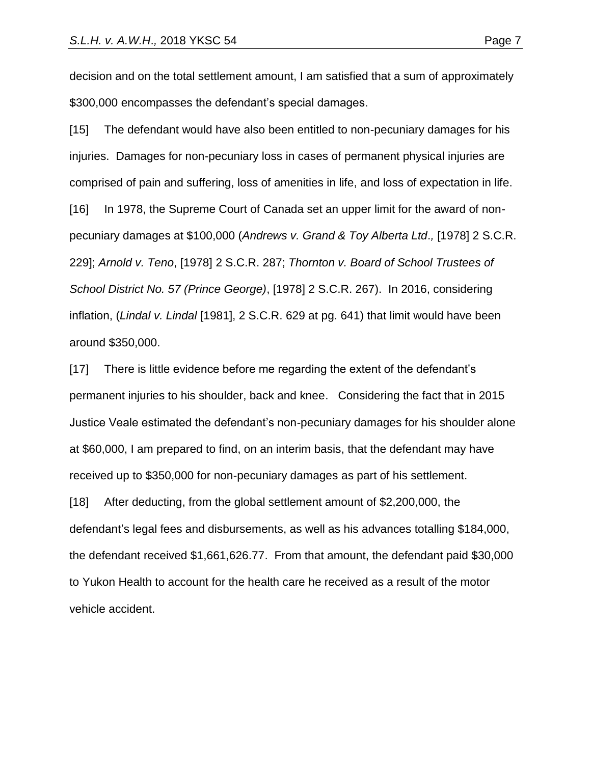decision and on the total settlement amount, I am satisfied that a sum of approximately \$300,000 encompasses the defendant's special damages.

[15] The defendant would have also been entitled to non-pecuniary damages for his injuries. Damages for non-pecuniary loss in cases of permanent physical injuries are comprised of pain and suffering, loss of amenities in life, and loss of expectation in life. [16] In 1978, the Supreme Court of Canada set an upper limit for the award of nonpecuniary damages at \$100,000 (*Andrews v. Grand & Toy Alberta Ltd*.*,* [1978] 2 [S.C.R.](https://advance.lexis.com/search/?pdmfid=1505209&crid=ed8b0ade-4378-43ab-a96b-534bcd7f3e5c&pdsearchterms=Lindal+v.+Lindal%2C+%5B1981%5D+2+S.C.R.+629&pdicsfeatureid=1517129&pdstartin=hlct%3A1%3A11&pdtypeofsearch=searchboxclick&pdsearchtype=SearchBox&pdqttype=and&pdpsf=%3A%3A1&pdquerytemplateid=&ecomp=gpct9kk&earg=pdpsf&prid=b32954a9-bf9e-42c8-bf24-059bd11ed701) [229\]](https://advance.lexis.com/search/?pdmfid=1505209&crid=ed8b0ade-4378-43ab-a96b-534bcd7f3e5c&pdsearchterms=Lindal+v.+Lindal%2C+%5B1981%5D+2+S.C.R.+629&pdicsfeatureid=1517129&pdstartin=hlct%3A1%3A11&pdtypeofsearch=searchboxclick&pdsearchtype=SearchBox&pdqttype=and&pdpsf=%3A%3A1&pdquerytemplateid=&ecomp=gpct9kk&earg=pdpsf&prid=b32954a9-bf9e-42c8-bf24-059bd11ed701); *Arnold v. Teno*, [1978] 2 [S.C.R.](https://advance.lexis.com/search/?pdmfid=1505209&crid=ed8b0ade-4378-43ab-a96b-534bcd7f3e5c&pdsearchterms=Lindal+v.+Lindal%2C+%5B1981%5D+2+S.C.R.+629&pdicsfeatureid=1517129&pdstartin=hlct%3A1%3A11&pdtypeofsearch=searchboxclick&pdsearchtype=SearchBox&pdqttype=and&pdpsf=%3A%3A1&pdquerytemplateid=&ecomp=gpct9kk&earg=pdpsf&prid=b32954a9-bf9e-42c8-bf24-059bd11ed701) 287; *Thornton v. Board of School Trustees of School District No. 57 (Prince George)*, [1978] 2 [S.C.R.](https://advance.lexis.com/search/?pdmfid=1505209&crid=ed8b0ade-4378-43ab-a96b-534bcd7f3e5c&pdsearchterms=Lindal+v.+Lindal%2C+%5B1981%5D+2+S.C.R.+629&pdicsfeatureid=1517129&pdstartin=hlct%3A1%3A11&pdtypeofsearch=searchboxclick&pdsearchtype=SearchBox&pdqttype=and&pdpsf=%3A%3A1&pdquerytemplateid=&ecomp=gpct9kk&earg=pdpsf&prid=b32954a9-bf9e-42c8-bf24-059bd11ed701) 267). In 2016, considering inflation, (*Lindal v. Lindal* [1981], 2 S.C.R. 629 at pg. 641) that limit would have been around \$350,000.

[17] There is little evidence before me regarding the extent of the defendant's permanent injuries to his shoulder, back and knee. Considering the fact that in 2015 Justice Veale estimated the defendant's non-pecuniary damages for his shoulder alone at \$60,000, I am prepared to find, on an interim basis, that the defendant may have received up to \$350,000 for non-pecuniary damages as part of his settlement. [18] After deducting, from the global settlement amount of \$2,200,000, the defendant's legal fees and disbursements, as well as his advances totalling \$184,000, the defendant received \$1,661,626.77. From that amount, the defendant paid \$30,000 to Yukon Health to account for the health care he received as a result of the motor vehicle accident.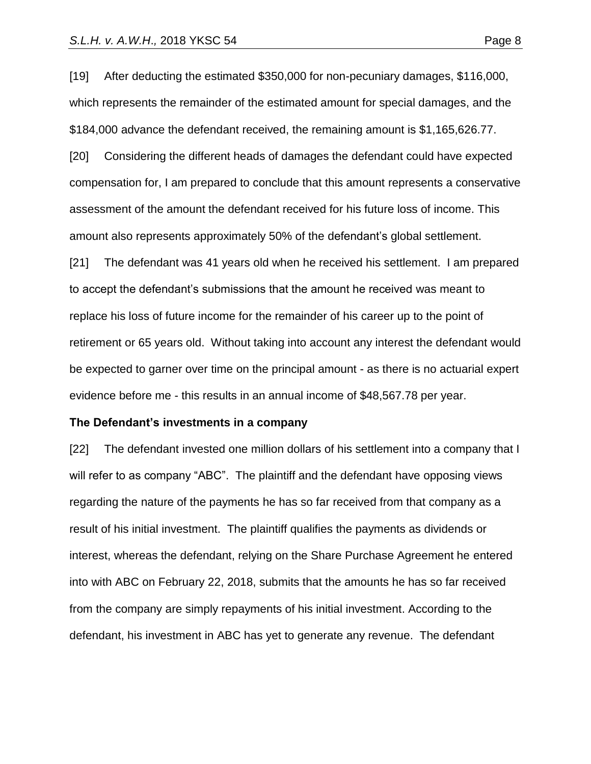[19] After deducting the estimated \$350,000 for non-pecuniary damages, \$116,000, which represents the remainder of the estimated amount for special damages, and the \$184,000 advance the defendant received, the remaining amount is \$1,165,626.77.

[20] Considering the different heads of damages the defendant could have expected compensation for, I am prepared to conclude that this amount represents a conservative assessment of the amount the defendant received for his future loss of income. This amount also represents approximately 50% of the defendant's global settlement.

[21] The defendant was 41 years old when he received his settlement. I am prepared to accept the defendant's submissions that the amount he received was meant to replace his loss of future income for the remainder of his career up to the point of retirement or 65 years old. Without taking into account any interest the defendant would be expected to garner over time on the principal amount - as there is no actuarial expert evidence before me - this results in an annual income of \$48,567.78 per year.

#### **The Defendant's investments in a company**

[22] The defendant invested one million dollars of his settlement into a company that I will refer to as company "ABC". The plaintiff and the defendant have opposing views regarding the nature of the payments he has so far received from that company as a result of his initial investment. The plaintiff qualifies the payments as dividends or interest, whereas the defendant, relying on the Share Purchase Agreement he entered into with ABC on February 22, 2018, submits that the amounts he has so far received from the company are simply repayments of his initial investment. According to the defendant, his investment in ABC has yet to generate any revenue. The defendant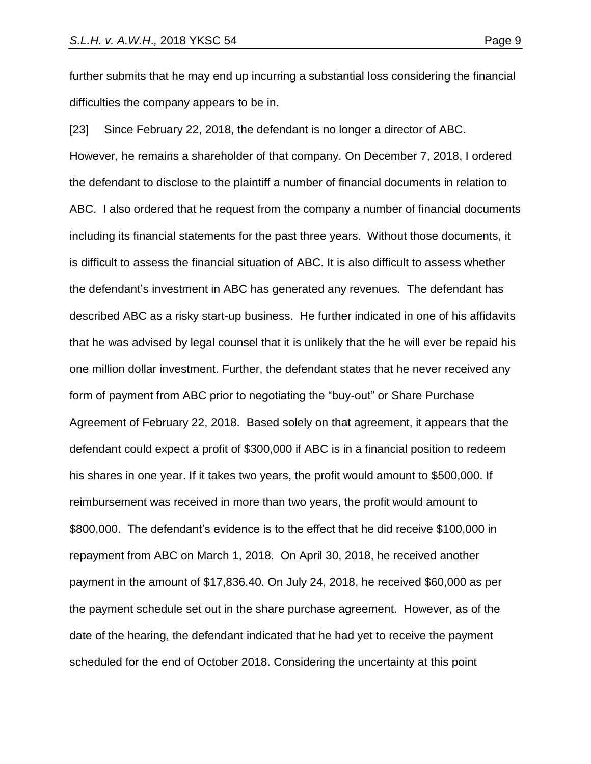further submits that he may end up incurring a substantial loss considering the financial difficulties the company appears to be in.

[23] Since February 22, 2018, the defendant is no longer a director of ABC. However, he remains a shareholder of that company. On December 7, 2018, I ordered the defendant to disclose to the plaintiff a number of financial documents in relation to ABC. I also ordered that he request from the company a number of financial documents including its financial statements for the past three years. Without those documents, it is difficult to assess the financial situation of ABC. It is also difficult to assess whether the defendant's investment in ABC has generated any revenues. The defendant has described ABC as a risky start-up business. He further indicated in one of his affidavits that he was advised by legal counsel that it is unlikely that the he will ever be repaid his one million dollar investment. Further, the defendant states that he never received any form of payment from ABC prior to negotiating the "buy-out" or Share Purchase Agreement of February 22, 2018. Based solely on that agreement, it appears that the defendant could expect a profit of \$300,000 if ABC is in a financial position to redeem his shares in one year. If it takes two years, the profit would amount to \$500,000. If reimbursement was received in more than two years, the profit would amount to \$800,000. The defendant's evidence is to the effect that he did receive \$100,000 in repayment from ABC on March 1, 2018. On April 30, 2018, he received another payment in the amount of \$17,836.40. On July 24, 2018, he received \$60,000 as per the payment schedule set out in the share purchase agreement. However, as of the date of the hearing, the defendant indicated that he had yet to receive the payment scheduled for the end of October 2018. Considering the uncertainty at this point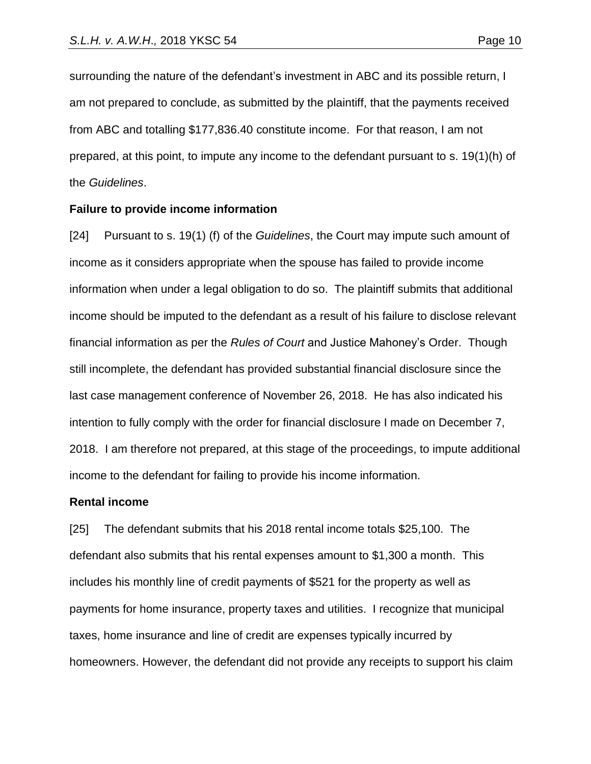surrounding the nature of the defendant's investment in ABC and its possible return, I am not prepared to conclude, as submitted by the plaintiff, that the payments received from ABC and totalling \$177,836.40 constitute income. For that reason, I am not prepared, at this point, to impute any income to the defendant pursuant to s. 19(1)(h) of the *Guidelines*.

#### **Failure to provide income information**

[24] Pursuant to s. 19(1) (f) of the *Guidelines*, the Court may impute such amount of income as it considers appropriate when the spouse has failed to provide income information when under a legal obligation to do so. The plaintiff submits that additional income should be imputed to the defendant as a result of his failure to disclose relevant financial information as per the *Rules of Court* and Justice Mahoney's Order. Though still incomplete, the defendant has provided substantial financial disclosure since the last case management conference of November 26, 2018. He has also indicated his intention to fully comply with the order for financial disclosure I made on December 7, 2018. I am therefore not prepared, at this stage of the proceedings, to impute additional income to the defendant for failing to provide his income information.

#### **Rental income**

[25] The defendant submits that his 2018 rental income totals \$25,100. The defendant also submits that his rental expenses amount to \$1,300 a month. This includes his monthly line of credit payments of \$521 for the property as well as payments for home insurance, property taxes and utilities. I recognize that municipal taxes, home insurance and line of credit are expenses typically incurred by homeowners. However, the defendant did not provide any receipts to support his claim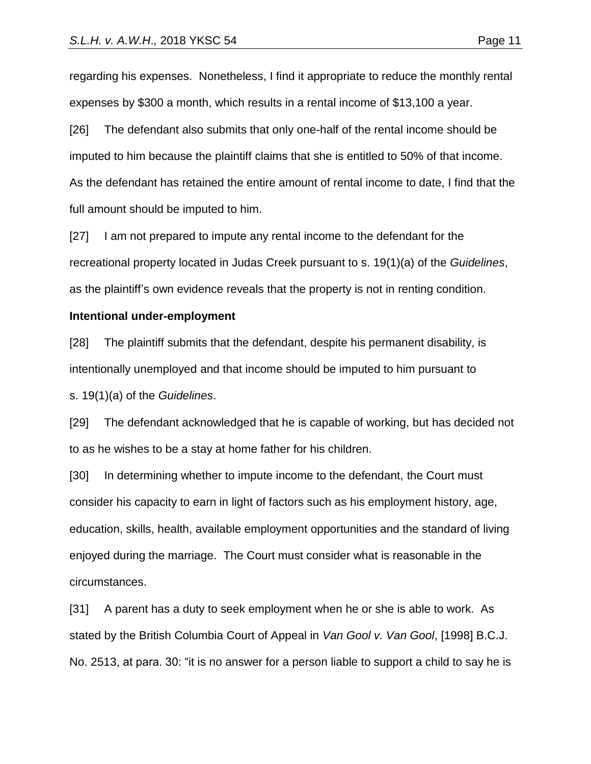[26] The defendant also submits that only one-half of the rental income should be imputed to him because the plaintiff claims that she is entitled to 50% of that income. As the defendant has retained the entire amount of rental income to date, I find that the full amount should be imputed to him.

[27] I am not prepared to impute any rental income to the defendant for the recreational property located in Judas Creek pursuant to s. 19(1)(a) of the *Guidelines*, as the plaintiff's own evidence reveals that the property is not in renting condition.

### **Intentional under-employment**

[28] The plaintiff submits that the defendant, despite his permanent disability, is intentionally unemployed and that income should be imputed to him pursuant to s. 19(1)(a) of the *Guidelines*.

[29] The defendant acknowledged that he is capable of working, but has decided not to as he wishes to be a stay at home father for his children.

[30] In determining whether to impute income to the defendant, the Court must consider his capacity to earn in light of factors such as his employment history, age, education, skills, health, available employment opportunities and the standard of living enjoyed during the marriage. The Court must consider what is reasonable in the circumstances.

[31] A parent has a duty to seek employment when he or she is able to work. As stated by the British Columbia Court of Appeal in *Van Gool v. Van Gool*, [1998] B.C.J. No. 2513, at para. 30: "it is no answer for a person liable to support a child to say he is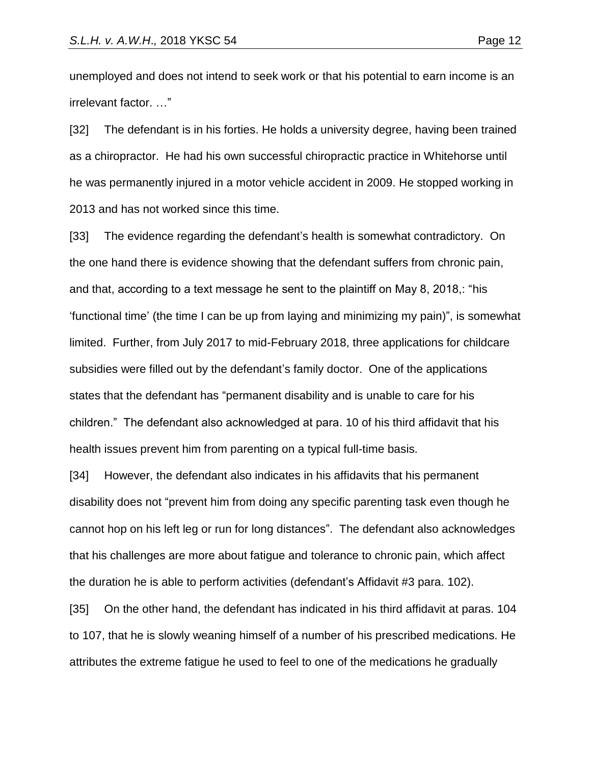unemployed and does not intend to seek work or that his potential to earn income is an irrelevant factor. …"

[32] The defendant is in his forties. He holds a university degree, having been trained as a chiropractor. He had his own successful chiropractic practice in Whitehorse until he was permanently injured in a motor vehicle accident in 2009. He stopped working in 2013 and has not worked since this time.

[33] The evidence regarding the defendant's health is somewhat contradictory. On the one hand there is evidence showing that the defendant suffers from chronic pain, and that, according to a text message he sent to the plaintiff on May 8, 2018,: "his 'functional time' (the time I can be up from laying and minimizing my pain)", is somewhat limited. Further, from July 2017 to mid-February 2018, three applications for childcare subsidies were filled out by the defendant's family doctor. One of the applications states that the defendant has "permanent disability and is unable to care for his children." The defendant also acknowledged at para. 10 of his third affidavit that his health issues prevent him from parenting on a typical full-time basis.

[34] However, the defendant also indicates in his affidavits that his permanent disability does not "prevent him from doing any specific parenting task even though he cannot hop on his left leg or run for long distances". The defendant also acknowledges that his challenges are more about fatigue and tolerance to chronic pain, which affect the duration he is able to perform activities (defendant's Affidavit #3 para. 102).

[35] On the other hand, the defendant has indicated in his third affidavit at paras. 104 to 107, that he is slowly weaning himself of a number of his prescribed medications. He attributes the extreme fatigue he used to feel to one of the medications he gradually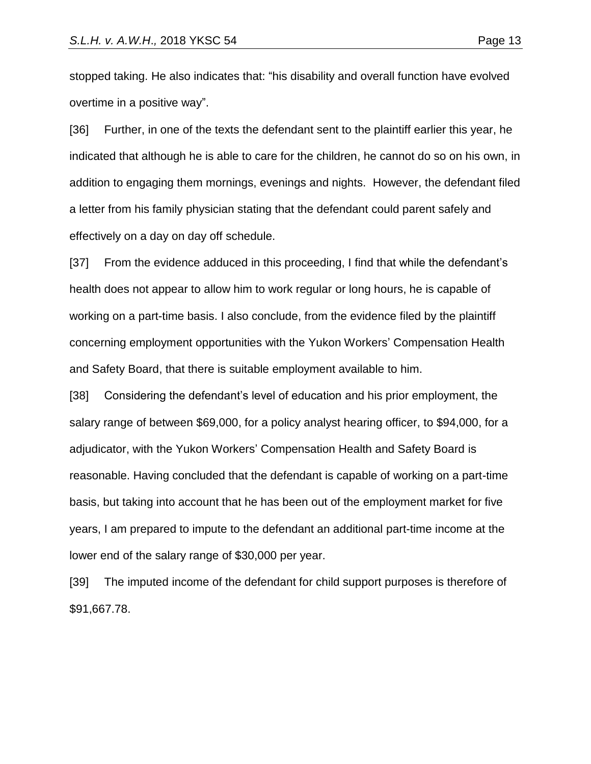stopped taking. He also indicates that: "his disability and overall function have evolved overtime in a positive way".

[36] Further, in one of the texts the defendant sent to the plaintiff earlier this year, he indicated that although he is able to care for the children, he cannot do so on his own, in addition to engaging them mornings, evenings and nights. However, the defendant filed a letter from his family physician stating that the defendant could parent safely and effectively on a day on day off schedule.

[37] From the evidence adduced in this proceeding, I find that while the defendant's health does not appear to allow him to work regular or long hours, he is capable of working on a part-time basis. I also conclude, from the evidence filed by the plaintiff concerning employment opportunities with the Yukon Workers' Compensation Health and Safety Board, that there is suitable employment available to him.

[38] Considering the defendant's level of education and his prior employment, the salary range of between \$69,000, for a policy analyst hearing officer, to \$94,000, for a adjudicator, with the Yukon Workers' Compensation Health and Safety Board is reasonable. Having concluded that the defendant is capable of working on a part-time basis, but taking into account that he has been out of the employment market for five years, I am prepared to impute to the defendant an additional part-time income at the lower end of the salary range of \$30,000 per year.

[39] The imputed income of the defendant for child support purposes is therefore of \$91,667.78.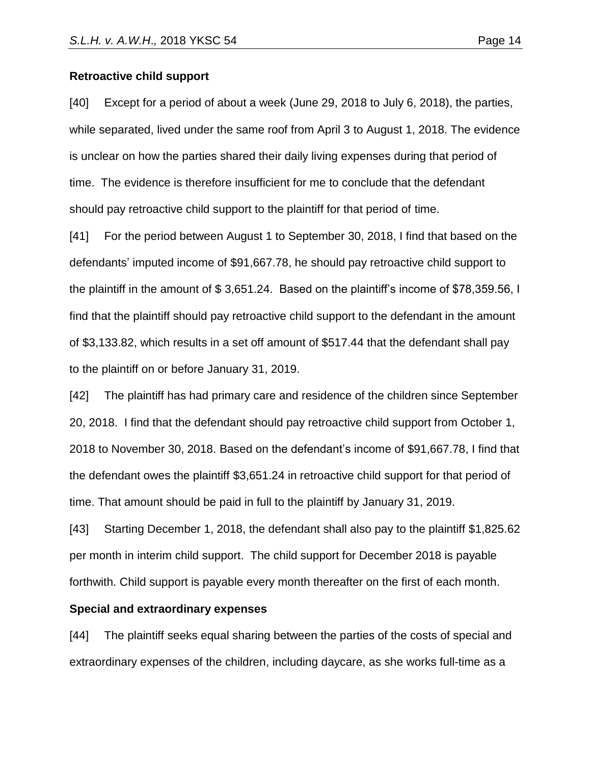#### **Retroactive child support**

[40] Except for a period of about a week (June 29, 2018 to July 6, 2018), the parties, while separated, lived under the same roof from April 3 to August 1, 2018. The evidence is unclear on how the parties shared their daily living expenses during that period of time. The evidence is therefore insufficient for me to conclude that the defendant should pay retroactive child support to the plaintiff for that period of time.

[41] For the period between August 1 to September 30, 2018, I find that based on the defendants' imputed income of \$91,667.78, he should pay retroactive child support to the plaintiff in the amount of \$ 3,651.24. Based on the plaintiff's income of \$78,359.56, I find that the plaintiff should pay retroactive child support to the defendant in the amount of \$3,133.82, which results in a set off amount of \$517.44 that the defendant shall pay to the plaintiff on or before January 31, 2019.

[42] The plaintiff has had primary care and residence of the children since September 20, 2018. I find that the defendant should pay retroactive child support from October 1, 2018 to November 30, 2018. Based on the defendant's income of \$91,667.78, I find that the defendant owes the plaintiff \$3,651.24 in retroactive child support for that period of time. That amount should be paid in full to the plaintiff by January 31, 2019.

[43] Starting December 1, 2018, the defendant shall also pay to the plaintiff \$1,825.62 per month in interim child support. The child support for December 2018 is payable forthwith. Child support is payable every month thereafter on the first of each month.

#### **Special and extraordinary expenses**

[44] The plaintiff seeks equal sharing between the parties of the costs of special and extraordinary expenses of the children, including daycare, as she works full-time as a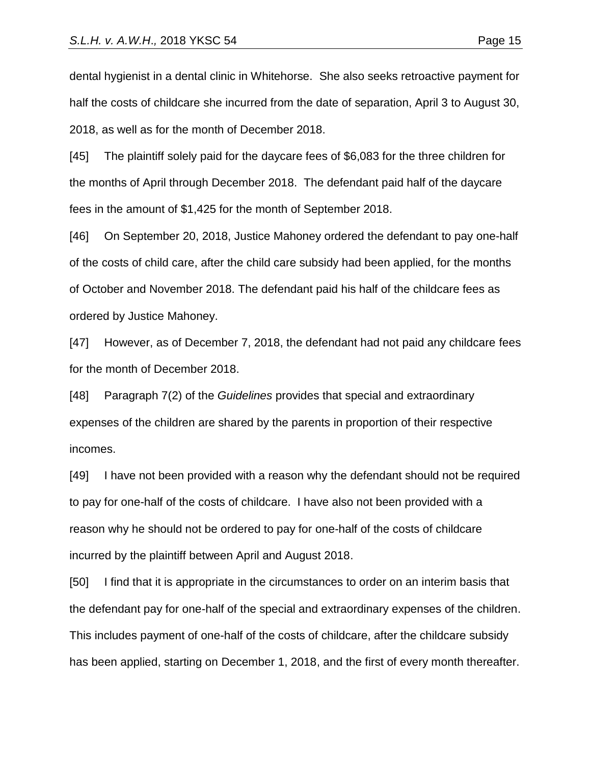dental hygienist in a dental clinic in Whitehorse. She also seeks retroactive payment for half the costs of childcare she incurred from the date of separation, April 3 to August 30, 2018, as well as for the month of December 2018.

[45] The plaintiff solely paid for the daycare fees of \$6,083 for the three children for the months of April through December 2018. The defendant paid half of the daycare fees in the amount of \$1,425 for the month of September 2018.

[46] On September 20, 2018, Justice Mahoney ordered the defendant to pay one-half of the costs of child care, after the child care subsidy had been applied, for the months of October and November 2018. The defendant paid his half of the childcare fees as ordered by Justice Mahoney.

[47] However, as of December 7, 2018, the defendant had not paid any childcare fees for the month of December 2018.

[48] Paragraph 7(2) of the *Guidelines* provides that special and extraordinary expenses of the children are shared by the parents in proportion of their respective incomes.

[49] I have not been provided with a reason why the defendant should not be required to pay for one-half of the costs of childcare. I have also not been provided with a reason why he should not be ordered to pay for one-half of the costs of childcare incurred by the plaintiff between April and August 2018.

[50] I find that it is appropriate in the circumstances to order on an interim basis that the defendant pay for one-half of the special and extraordinary expenses of the children. This includes payment of one-half of the costs of childcare, after the childcare subsidy has been applied, starting on December 1, 2018, and the first of every month thereafter.